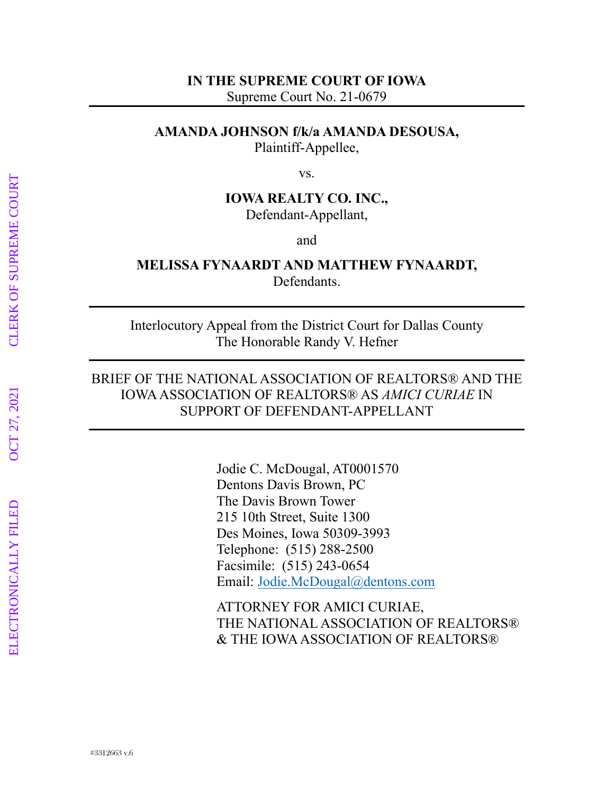#### **IN THE SUPREME COURT OF IOWA**

Supreme Court No. 21-0679

## **AMANDA JOHNSON f/k/a AMANDA DESOUSA,**

Plaintiff-Appellee,

vs.

# **IOWA REALTY CO. INC.,** Defendant-Appellant,

and

#### **MELISSA FYNAARDT AND MATTHEW FYNAARDT,** Defendants.

Interlocutory Appeal from the District Court for Dallas County The Honorable Randy V. Hefner

## BRIEF OF THE NATIONAL ASSOCIATION OF REALTORS® AND THE IOWA ASSOCIATION OF REALTORS® AS *AMICI CURIAE* IN SUPPORT OF DEFENDANT-APPELLANT

Jodie C. McDougal, AT0001570 Dentons Davis Brown, PC The Davis Brown Tower 215 10th Street, Suite 1300 Des Moines, Iowa 50309-3993 Telephone: (515) 288-2500 Facsimile: (515) 243-0654 Email: Jodie.McDougal@dentons.com

ATTORNEY FOR AMICI CURIAE, THE NATIONAL ASSOCIATION OF REALTORS® & THE IOWA ASSOCIATION OF REALTORS®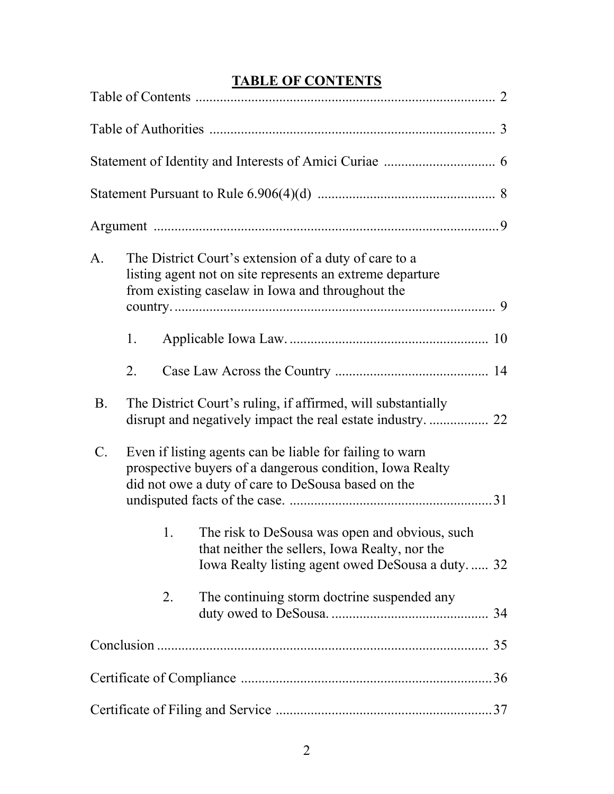# **TABLE OF CONTENTS**

| A.              |    |    | The District Court's extension of a duty of care to a<br>listing agent not on site represents an extreme departure<br>from existing caselaw in Iowa and throughout the     |  |
|-----------------|----|----|----------------------------------------------------------------------------------------------------------------------------------------------------------------------------|--|
|                 | 1. |    |                                                                                                                                                                            |  |
|                 | 2. |    |                                                                                                                                                                            |  |
| <b>B.</b>       |    |    | The District Court's ruling, if affirmed, will substantially                                                                                                               |  |
| $\mathcal{C}$ . |    |    | Even if listing agents can be liable for failing to warn<br>prospective buyers of a dangerous condition, Iowa Realty<br>did not owe a duty of care to DeSousa based on the |  |
|                 |    | 1. | The risk to DeSousa was open and obvious, such<br>that neither the sellers, Iowa Realty, nor the<br>Iowa Realty listing agent owed DeSousa a duty 32                       |  |
|                 |    | 2. | The continuing storm doctrine suspended any                                                                                                                                |  |
|                 |    |    |                                                                                                                                                                            |  |
|                 |    |    |                                                                                                                                                                            |  |
|                 |    |    |                                                                                                                                                                            |  |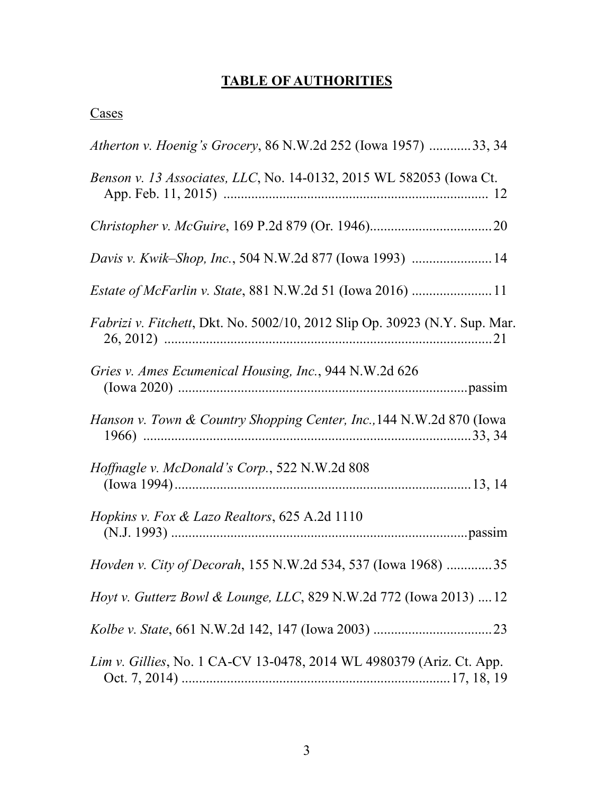# **TABLE OF AUTHORITIES**

|--|

| Atherton v. Hoenig's Grocery, 86 N.W.2d 252 (Iowa 1957) 33, 34                     |
|------------------------------------------------------------------------------------|
| Benson v. 13 Associates, LLC, No. 14-0132, 2015 WL 582053 (Iowa Ct.                |
|                                                                                    |
| <i>Davis v. Kwik–Shop, Inc.</i> , 504 N.W.2d 877 (Iowa 1993) 14                    |
|                                                                                    |
| <i>Fabrizi v. Fitchett</i> , Dkt. No. 5002/10, 2012 Slip Op. 30923 (N.Y. Sup. Mar. |
| Gries v. Ames Ecumenical Housing, Inc., 944 N.W.2d 626                             |
| Hanson v. Town & Country Shopping Center, Inc., 144 N.W.2d 870 (Iowa               |
| <i>Hoffnagle v. McDonald's Corp.</i> , 522 N.W.2d 808                              |
| <i>Hopkins v. Fox &amp; Lazo Realtors, 625 A.2d 1110</i>                           |
| <i>Hovden v. City of Decorah</i> , 155 N.W.2d 534, 537 (Iowa 1968) 35              |
| <i>Hoyt v. Gutterz Bowl &amp; Lounge, LLC, 829 N.W.2d 772 (Iowa 2013) 12</i>       |
|                                                                                    |
| Lim v. Gillies, No. 1 CA-CV 13-0478, 2014 WL 4980379 (Ariz. Ct. App.               |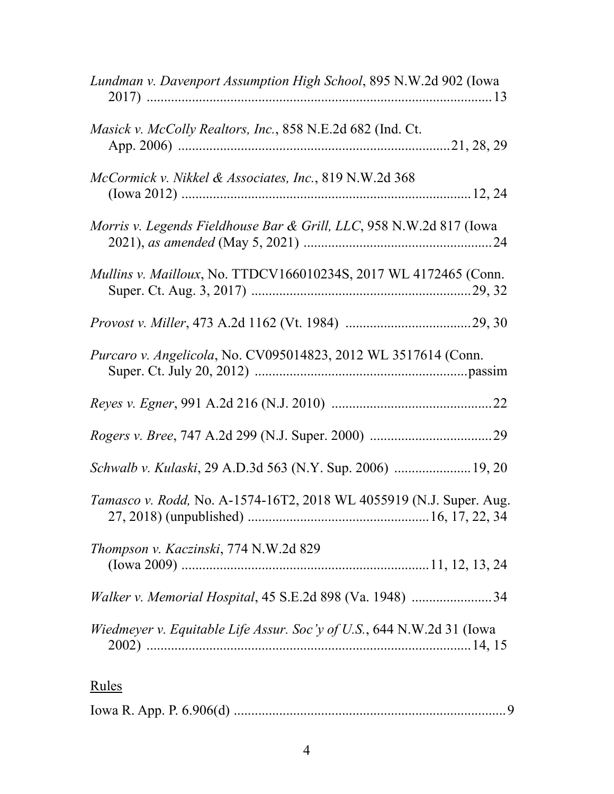| Lundman v. Davenport Assumption High School, 895 N.W.2d 902 (Iowa     |
|-----------------------------------------------------------------------|
| <i>Masick v. McColly Realtors, Inc., 858 N.E.2d 682 (Ind. Ct.</i>     |
| McCormick v. Nikkel & Associates, Inc., 819 N.W.2d 368                |
| Morris v. Legends Fieldhouse Bar & Grill, LLC, 958 N.W.2d 817 (Iowa   |
| Mullins v. Mailloux, No. TTDCV166010234S, 2017 WL 4172465 (Conn.      |
|                                                                       |
| Purcaro v. Angelicola, No. CV095014823, 2012 WL 3517614 (Conn.        |
|                                                                       |
|                                                                       |
| Schwalb v. Kulaski, 29 A.D.3d 563 (N.Y. Sup. 2006)  19, 20            |
| Tamasco v. Rodd, No. A-1574-16T2, 2018 WL 4055919 (N.J. Super. Aug.   |
| Thompson v. Kaczinski, 774 N.W.2d 829                                 |
| Walker v. Memorial Hospital, 45 S.E.2d 898 (Va. 1948) 34              |
| Wiedmeyer v. Equitable Life Assur. Soc'y of U.S., 644 N.W.2d 31 (Iowa |
| <u>Rules</u>                                                          |

# Iowa R. App. P. 6.906(d) ..............................................................................9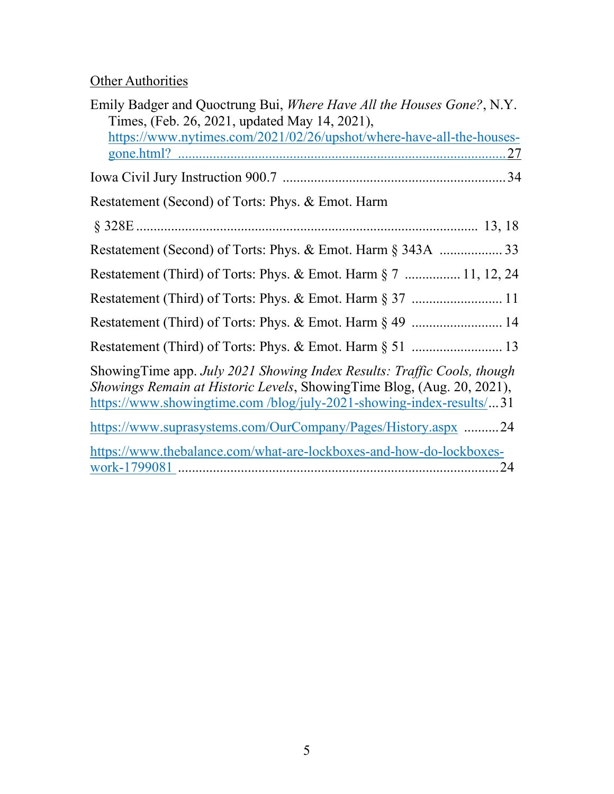# **Other Authorities**

| Emily Badger and Quoctrung Bui, Where Have All the Houses Gone?, N.Y.                                                                                                                                                    |
|--------------------------------------------------------------------------------------------------------------------------------------------------------------------------------------------------------------------------|
| Times, (Feb. 26, 2021, updated May 14, 2021),                                                                                                                                                                            |
| https://www.nytimes.com/2021/02/26/upshot/where-have-all-the-houses-                                                                                                                                                     |
|                                                                                                                                                                                                                          |
|                                                                                                                                                                                                                          |
| Restatement (Second) of Torts: Phys. & Emot. Harm                                                                                                                                                                        |
|                                                                                                                                                                                                                          |
|                                                                                                                                                                                                                          |
| Restatement (Third) of Torts: Phys. & Emot. Harm § 7  11, 12, 24                                                                                                                                                         |
|                                                                                                                                                                                                                          |
| Restatement (Third) of Torts: Phys. & Emot. Harm § 49  14                                                                                                                                                                |
|                                                                                                                                                                                                                          |
| ShowingTime app. July 2021 Showing Index Results: Traffic Cools, though<br>Showings Remain at Historic Levels, ShowingTime Blog, (Aug. 20, 2021),<br>https://www.showingtime.com/blog/july-2021-showing-index-results/31 |
| https://www.suprasystems.com/OurCompany/Pages/History.aspx 24                                                                                                                                                            |
| https://www.thebalance.com/what-are-lockboxes-and-how-do-lockboxes-                                                                                                                                                      |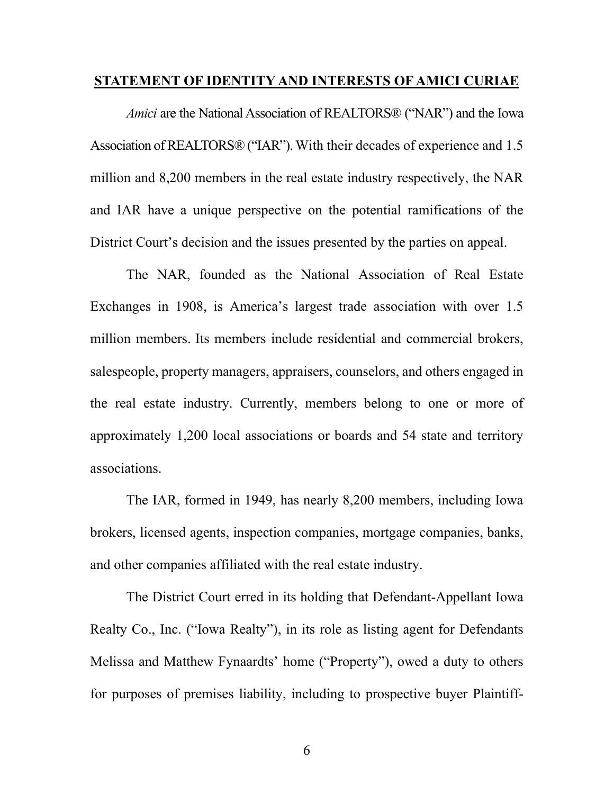#### **STATEMENT OF IDENTITY AND INTERESTS OF AMICI CURIAE**

*Amici* are the National Association of REALTORS® ("NAR") and the Iowa Association of REALTORS® ("IAR"). With their decades of experience and 1.5 million and 8,200 members in the real estate industry respectively, the NAR and IAR have a unique perspective on the potential ramifications of the District Court's decision and the issues presented by the parties on appeal.

The NAR, founded as the National Association of Real Estate Exchanges in 1908, is America's largest trade association with over 1.5 million members. Its members include residential and commercial brokers, salespeople, property managers, appraisers, counselors, and others engaged in the real estate industry. Currently, members belong to one or more of approximately 1,200 local associations or boards and 54 state and territory associations.

The IAR, formed in 1949, has nearly 8,200 members, including Iowa brokers, licensed agents, inspection companies, mortgage companies, banks, and other companies affiliated with the real estate industry.

The District Court erred in its holding that Defendant-Appellant Iowa Realty Co., Inc. ("Iowa Realty"), in its role as listing agent for Defendants Melissa and Matthew Fynaardts' home ("Property"), owed a duty to others for purposes of premises liability, including to prospective buyer Plaintiff-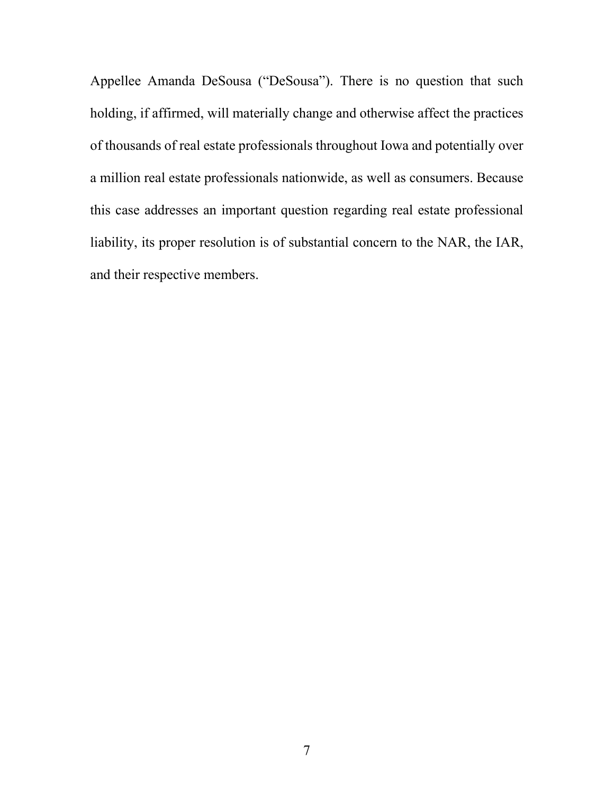Appellee Amanda DeSousa ("DeSousa"). There is no question that such holding, if affirmed, will materially change and otherwise affect the practices of thousands of real estate professionals throughout Iowa and potentially over a million real estate professionals nationwide, as well as consumers. Because this case addresses an important question regarding real estate professional liability, its proper resolution is of substantial concern to the NAR, the IAR, and their respective members.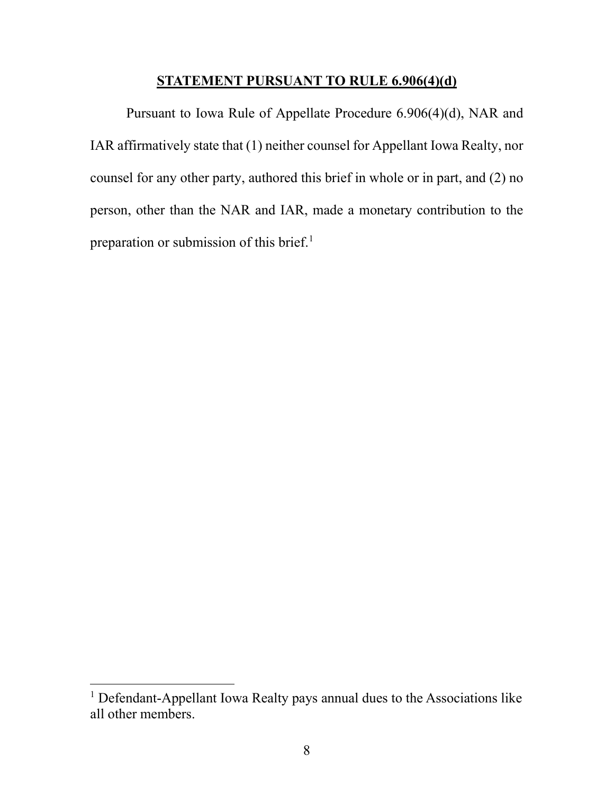#### **STATEMENT PURSUANT TO RULE 6.906(4)(d)**

Pursuant to Iowa Rule of Appellate Procedure 6.906(4)(d), NAR and IAR affirmatively state that (1) neither counsel for Appellant Iowa Realty, nor counsel for any other party, authored this brief in whole or in part, and (2) no person, other than the NAR and IAR, made a monetary contribution to the preparation or submission of this brief.<sup>1</sup>

<sup>&</sup>lt;sup>1</sup> Defendant-Appellant Iowa Realty pays annual dues to the Associations like all other members.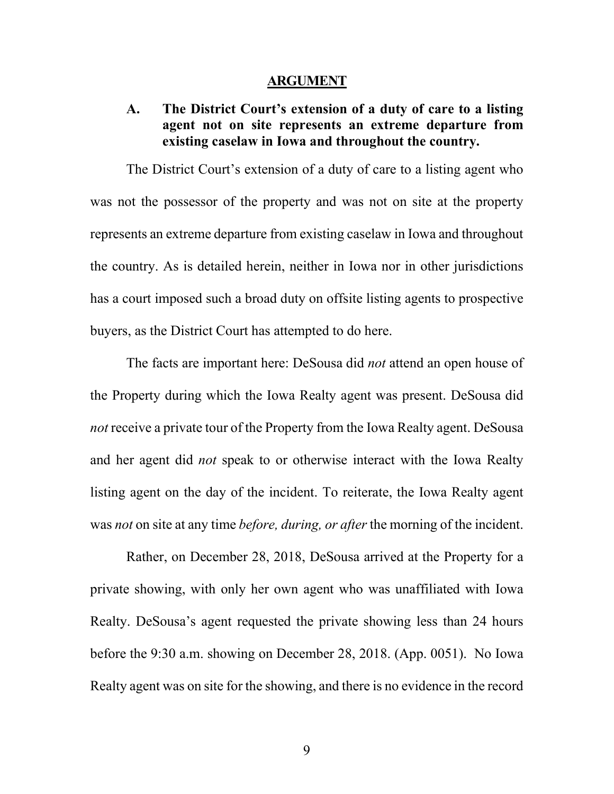#### **ARGUMENT**

## **A. The District Court's extension of a duty of care to a listing agent not on site represents an extreme departure from existing caselaw in Iowa and throughout the country.**

The District Court's extension of a duty of care to a listing agent who was not the possessor of the property and was not on site at the property represents an extreme departure from existing caselaw in Iowa and throughout the country. As is detailed herein, neither in Iowa nor in other jurisdictions has a court imposed such a broad duty on offsite listing agents to prospective buyers, as the District Court has attempted to do here.

The facts are important here: DeSousa did *not* attend an open house of the Property during which the Iowa Realty agent was present. DeSousa did *not* receive a private tour of the Property from the Iowa Realty agent. DeSousa and her agent did *not* speak to or otherwise interact with the Iowa Realty listing agent on the day of the incident. To reiterate, the Iowa Realty agent was *not* on site at any time *before, during, or after* the morning of the incident.

Rather, on December 28, 2018, DeSousa arrived at the Property for a private showing, with only her own agent who was unaffiliated with Iowa Realty. DeSousa's agent requested the private showing less than 24 hours before the 9:30 a.m. showing on December 28, 2018. (App. 0051). No Iowa Realty agent was on site for the showing, and there is no evidence in the record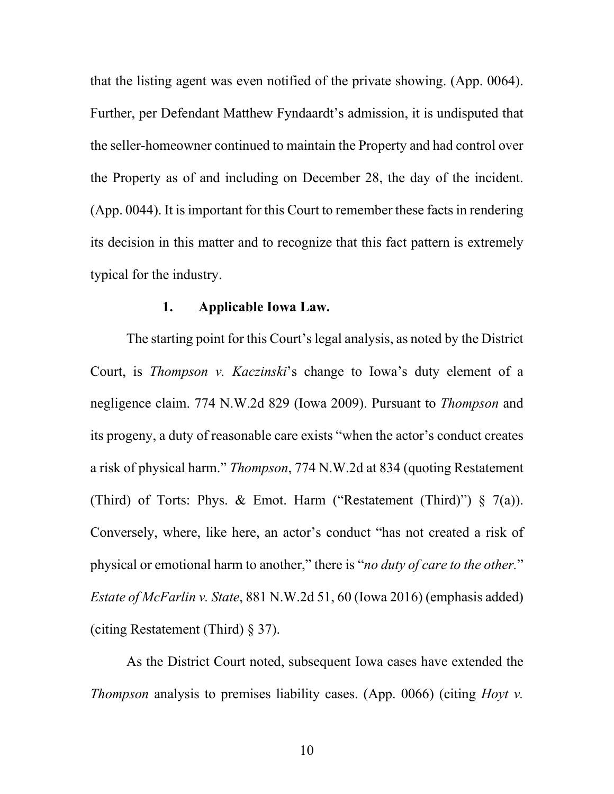that the listing agent was even notified of the private showing. (App. 0064). Further, per Defendant Matthew Fyndaardt's admission, it is undisputed that the seller-homeowner continued to maintain the Property and had control over the Property as of and including on December 28, the day of the incident.  $(App. 0044)$ . It is important for this Court to remember these facts in rendering its decision in this matter and to recognize that this fact pattern is extremely typical for the industry.

#### **1. Applicable Iowa Law.**

The starting point for this Court's legal analysis, as noted by the District Court, is *Thompson v. Kaczinski*'s change to Iowa's duty element of a negligence claim. 774 N.W.2d 829 (Iowa 2009). Pursuant to *Thompson* and its progeny, a duty of reasonable care exists "when the actor's conduct creates a risk of physical harm." *Thompson*, 774 N.W.2d at 834 (quoting Restatement (Third) of Torts: Phys. & Emot. Harm ("Restatement (Third)")  $\S$  7(a)). Conversely, where, like here, an actor's conduct "has not created a risk of physical or emotional harm to another," there is "*no duty of care to the other.*" *Estate of McFarlin v. State*, 881 N.W.2d 51, 60 (Iowa 2016) (emphasis added) (citing Restatement (Third) § 37).

As the District Court noted, subsequent Iowa cases have extended the *Thompson* analysis to premises liability cases. (App. 0066) (citing *Hoyt v.*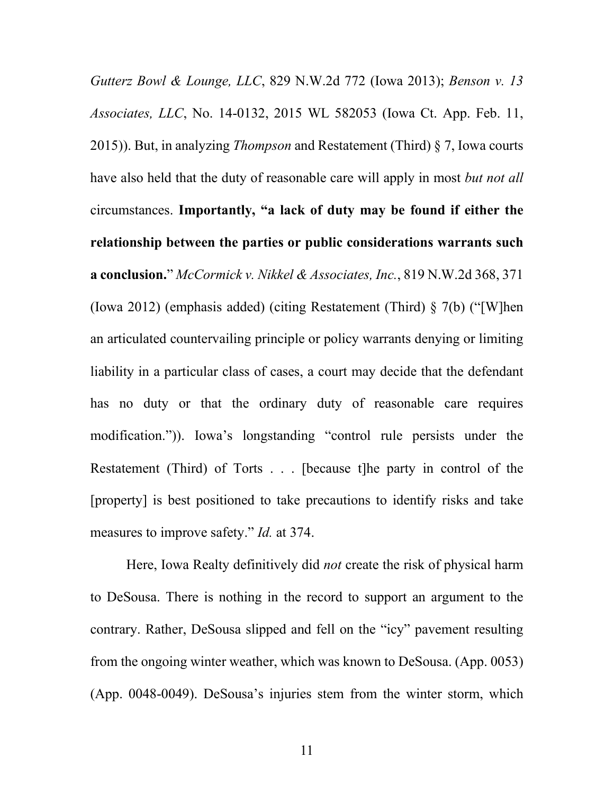*Gutterz Bowl & Lounge, LLC*, 829 N.W.2d 772 (Iowa 2013); *Benson v. 13 Associates, LLC*, No. 14-0132, 2015 WL 582053 (Iowa Ct. App. Feb. 11, 2015)). But, in analyzing *Thompson* and Restatement (Third) § 7, Iowa courts have also held that the duty of reasonable care will apply in most *but not all*  circumstances. **Importantly, "a lack of duty may be found if either the relationship between the parties or public considerations warrants such a conclusion.**" *McCormick v. Nikkel & Associates, Inc.*, 819 N.W.2d 368, 371 (Iowa 2012) (emphasis added) (citing Restatement (Third) § 7(b) ("[W]hen an articulated countervailing principle or policy warrants denying or limiting liability in a particular class of cases, a court may decide that the defendant has no duty or that the ordinary duty of reasonable care requires modification.")). Iowa's longstanding "control rule persists under the Restatement (Third) of Torts . . . [because t]he party in control of the [property] is best positioned to take precautions to identify risks and take measures to improve safety." *Id.* at 374.

Here, Iowa Realty definitively did *not* create the risk of physical harm to DeSousa. There is nothing in the record to support an argument to the contrary. Rather, DeSousa slipped and fell on the "icy" pavement resulting from the ongoing winter weather, which was known to DeSousa. (App. 0053) (App. 0048-0049). DeSousa's injuries stem from the winter storm, which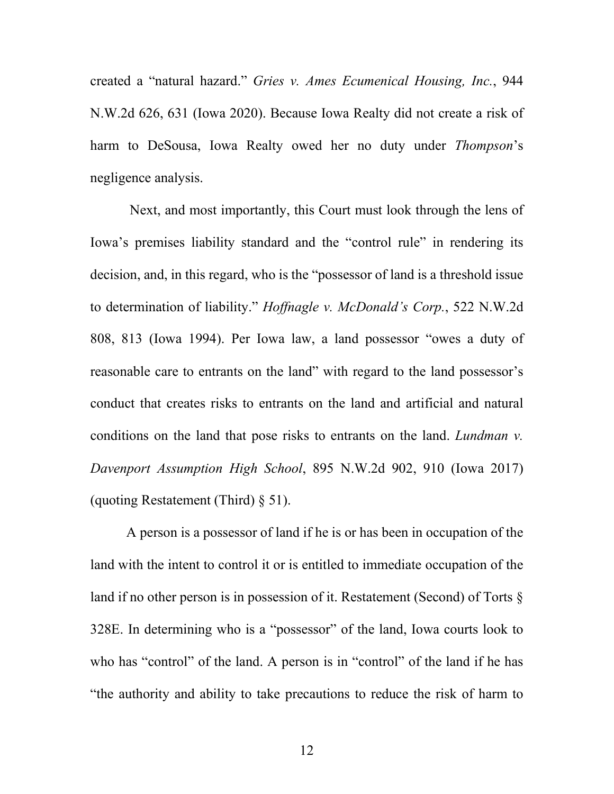created a "natural hazard." *Gries v. Ames Ecumenical Housing, Inc.*, 944 N.W.2d 626, 631 (Iowa 2020). Because Iowa Realty did not create a risk of harm to DeSousa, Iowa Realty owed her no duty under *Thompson*'s negligence analysis.

Next, and most importantly, this Court must look through the lens of Iowa's premises liability standard and the "control rule" in rendering its decision, and, in this regard, who is the "possessor of land is a threshold issue to determination of liability." *Hoffnagle v. McDonald's Corp.*, 522 N.W.2d 808, 813 (Iowa 1994). Per Iowa law, a land possessor "owes a duty of reasonable care to entrants on the land" with regard to the land possessor's conduct that creates risks to entrants on the land and artificial and natural conditions on the land that pose risks to entrants on the land. *Lundman v. Davenport Assumption High School*, 895 N.W.2d 902, 910 (Iowa 2017) (quoting Restatement (Third) § 51).

A person is a possessor of land if he is or has been in occupation of the land with the intent to control it or is entitled to immediate occupation of the land if no other person is in possession of it. Restatement (Second) of Torts § 328E. In determining who is a "possessor" of the land, Iowa courts look to who has "control" of the land. A person is in "control" of the land if he has "the authority and ability to take precautions to reduce the risk of harm to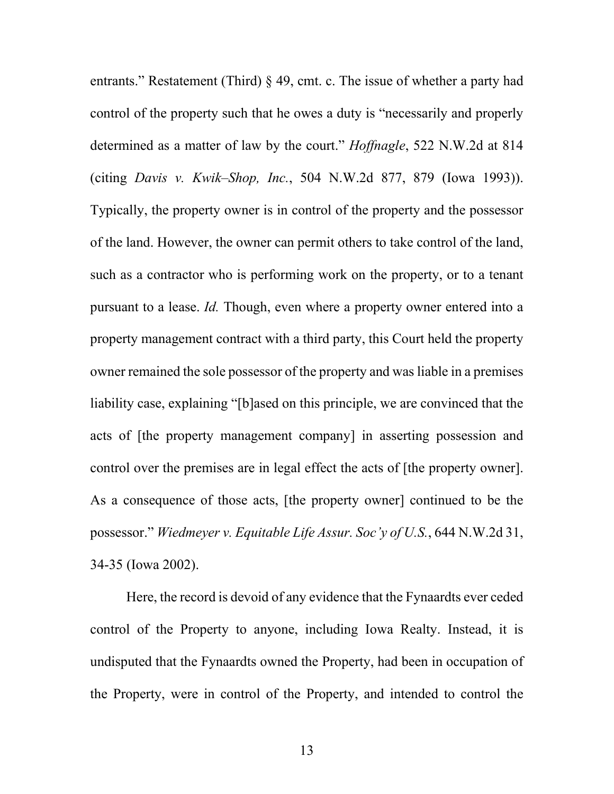entrants." Restatement (Third) § 49, cmt. c. The issue of whether a party had control of the property such that he owes a duty is "necessarily and properly determined as a matter of law by the court." *Hoffnagle*, 522 N.W.2d at 814 (citing *Davis v. Kwik–Shop, Inc.*, 504 N.W.2d 877, 879 (Iowa 1993)). Typically, the property owner is in control of the property and the possessor of the land. However, the owner can permit others to take control of the land, such as a contractor who is performing work on the property, or to a tenant pursuant to a lease. *Id.* Though, even where a property owner entered into a property management contract with a third party, this Court held the property owner remained the sole possessor of the property and was liable in a premises liability case, explaining "[b]ased on this principle, we are convinced that the acts of [the property management company] in asserting possession and control over the premises are in legal effect the acts of [the property owner]. As a consequence of those acts, [the property owner] continued to be the possessor." *Wiedmeyer v. Equitable Life Assur. Soc'y of U.S.*, 644 N.W.2d 31, 34-35 (Iowa 2002).

Here, the record is devoid of any evidence that the Fynaardts ever ceded control of the Property to anyone, including Iowa Realty. Instead, it is undisputed that the Fynaardts owned the Property, had been in occupation of the Property, were in control of the Property, and intended to control the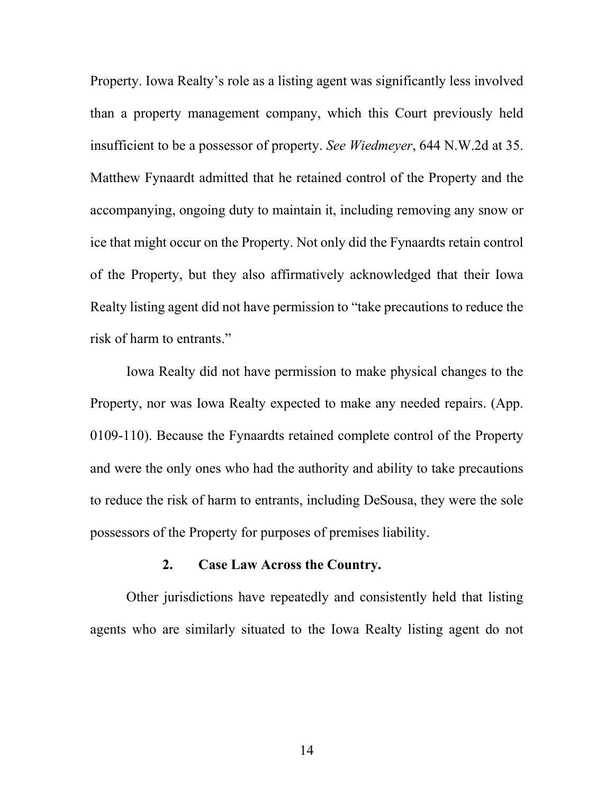Property. Iowa Realty's role as a listing agent was significantly less involved than a property management company, which this Court previously held insufficient to be a possessor of property. *See Wiedmeyer*, 644 N.W.2d at 35. Matthew Fynaardt admitted that he retained control of the Property and the accompanying, ongoing duty to maintain it, including removing any snow or ice that might occur on the Property. Not only did the Fynaardts retain control of the Property, but they also affirmatively acknowledged that their Iowa Realty listing agent did not have permission to "take precautions to reduce the risk of harm to entrants."

Iowa Realty did not have permission to make physical changes to the Property, nor was Iowa Realty expected to make any needed repairs. (App. 0109-110). Because the Fynaardts retained complete control of the Property and were the only ones who had the authority and ability to take precautions to reduce the risk of harm to entrants, including DeSousa, they were the sole possessors of the Property for purposes of premises liability.

#### **2. Case Law Across the Country.**

Other jurisdictions have repeatedly and consistently held that listing agents who are similarly situated to the Iowa Realty listing agent do not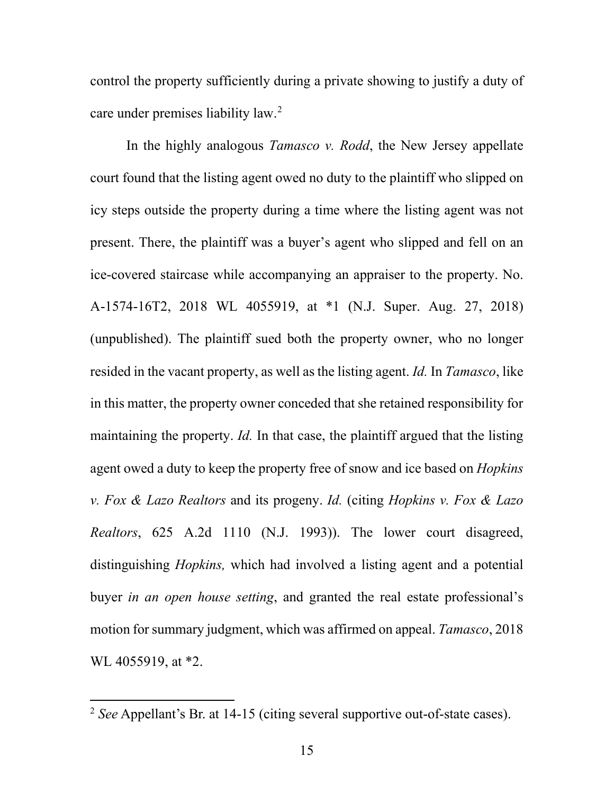control the property sufficiently during a private showing to justify a duty of care under premises liability law. 2

In the highly analogous *Tamasco v. Rodd*, the New Jersey appellate court found that the listing agent owed no duty to the plaintiff who slipped on icy steps outside the property during a time where the listing agent was not present. There, the plaintiff was a buyer's agent who slipped and fell on an ice-covered staircase while accompanying an appraiser to the property. No. A-1574-16T2, 2018 WL 4055919, at \*1 (N.J. Super. Aug. 27, 2018) (unpublished). The plaintiff sued both the property owner, who no longer resided in the vacant property, as well as the listing agent. *Id.* In *Tamasco*, like in this matter, the property owner conceded that she retained responsibility for maintaining the property. *Id.* In that case, the plaintiff argued that the listing agent owed a duty to keep the property free of snow and ice based on *Hopkins v. Fox & Lazo Realtors* and its progeny. *Id.* (citing *Hopkins v. Fox & Lazo Realtors*, 625 A.2d 1110 (N.J. 1993)). The lower court disagreed, distinguishing *Hopkins,* which had involved a listing agent and a potential buyer *in an open house setting*, and granted the real estate professional's motion for summary judgment, which was affirmed on appeal. *Tamasco*, 2018 WL 4055919, at \*2.

<sup>2</sup> *See* Appellant's Br. at 14-15 (citing several supportive out-of-state cases).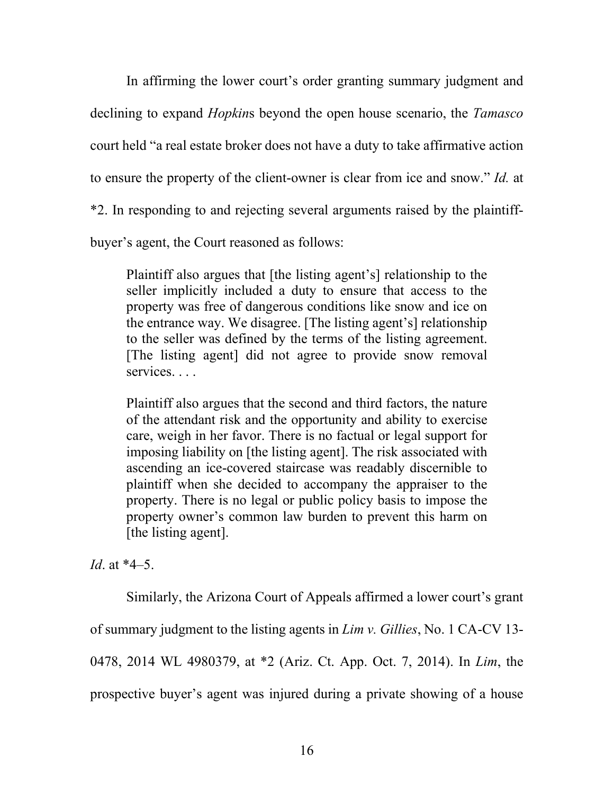In affirming the lower court's order granting summary judgment and declining to expand *Hopkin*s beyond the open house scenario, the *Tamasco*  court held "a real estate broker does not have a duty to take affirmative action to ensure the property of the client-owner is clear from ice and snow." *Id.* at \*2. In responding to and rejecting several arguments raised by the plaintiffbuyer's agent, the Court reasoned as follows:

Plaintiff also argues that [the listing agent's] relationship to the seller implicitly included a duty to ensure that access to the property was free of dangerous conditions like snow and ice on the entrance way. We disagree. [The listing agent's] relationship to the seller was defined by the terms of the listing agreement. [The listing agent] did not agree to provide snow removal services. . . .

Plaintiff also argues that the second and third factors, the nature of the attendant risk and the opportunity and ability to exercise care, weigh in her favor. There is no factual or legal support for imposing liability on [the listing agent]. The risk associated with ascending an ice-covered staircase was readably discernible to plaintiff when she decided to accompany the appraiser to the property. There is no legal or public policy basis to impose the property owner's common law burden to prevent this harm on [the listing agent].

*Id*. at \*4–5.

Similarly, the Arizona Court of Appeals affirmed a lower court's grant of summary judgment to the listing agents in *Lim v. Gillies*, No. 1 CA-CV 13- 0478, 2014 WL 4980379, at \*2 (Ariz. Ct. App. Oct. 7, 2014). In *Lim*, the prospective buyer's agent was injured during a private showing of a house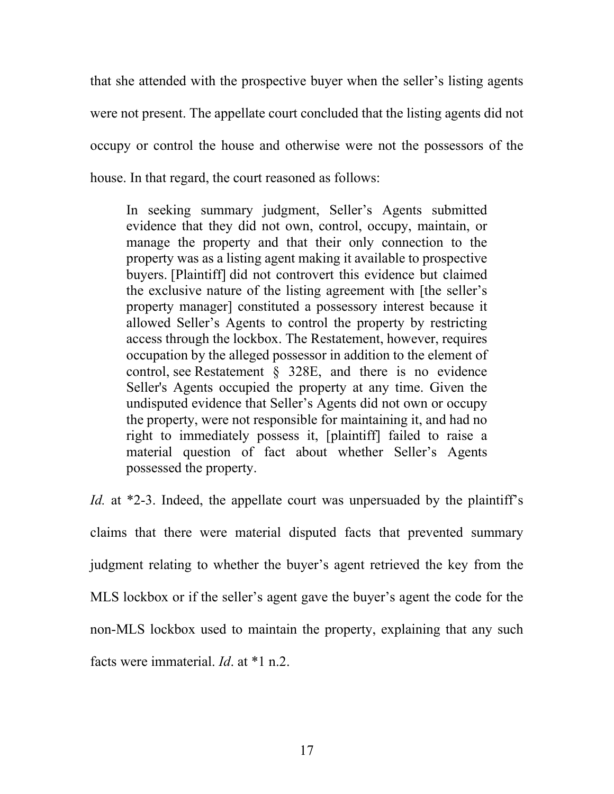that she attended with the prospective buyer when the seller's listing agents were not present. The appellate court concluded that the listing agents did not occupy or control the house and otherwise were not the possessors of the house. In that regard, the court reasoned as follows:

In seeking summary judgment, Seller's Agents submitted evidence that they did not own, control, occupy, maintain, or manage the property and that their only connection to the property was as a listing agent making it available to prospective buyers. [Plaintiff] did not controvert this evidence but claimed the exclusive nature of the listing agreement with [the seller's property manager] constituted a possessory interest because it allowed Seller's Agents to control the property by restricting access through the lockbox. The Restatement, however, requires occupation by the alleged possessor in addition to the element of control, see Restatement § 328E, and there is no evidence Seller's Agents occupied the property at any time. Given the undisputed evidence that Seller's Agents did not own or occupy the property, were not responsible for maintaining it, and had no right to immediately possess it, [plaintiff] failed to raise a material question of fact about whether Seller's Agents possessed the property.

*Id.* at \*2-3. Indeed, the appellate court was unpersuaded by the plaintiff's claims that there were material disputed facts that prevented summary judgment relating to whether the buyer's agent retrieved the key from the MLS lockbox or if the seller's agent gave the buyer's agent the code for the non-MLS lockbox used to maintain the property, explaining that any such facts were immaterial. *Id*. at \*1 n.2.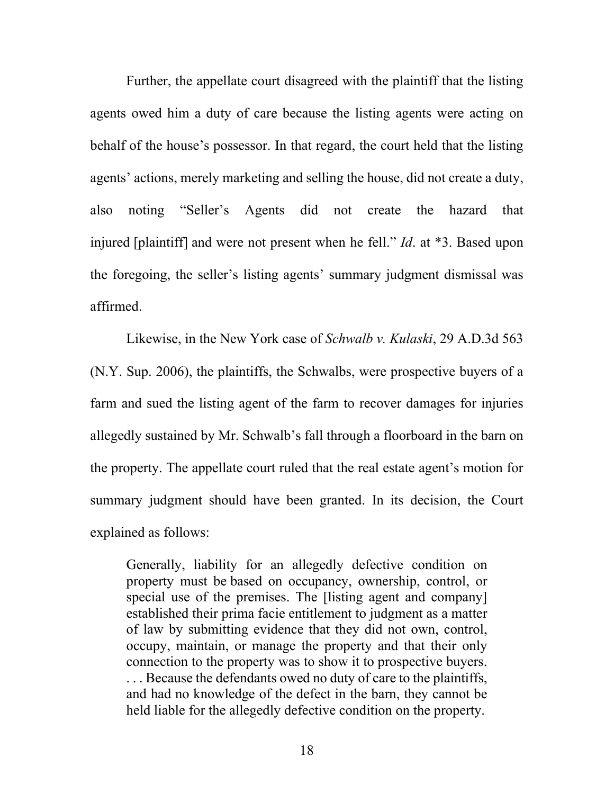Further, the appellate court disagreed with the plaintiff that the listing agents owed him a duty of care because the listing agents were acting on behalf of the house's possessor. In that regard, the court held that the listing agents' actions, merely marketing and selling the house, did not create a duty, also noting "Seller's Agents did not create the hazard that injured [plaintiff] and were not present when he fell." *Id*. at \*3. Based upon the foregoing, the seller's listing agents' summary judgment dismissal was affirmed.

Likewise, in the New York case of *Schwalb v. Kulaski*, 29 A.D.3d 563 (N.Y. Sup. 2006), the plaintiffs, the Schwalbs, were prospective buyers of a farm and sued the listing agent of the farm to recover damages for injuries allegedly sustained by Mr. Schwalb's fall through a floorboard in the barn on the property. The appellate court ruled that the real estate agent's motion for summary judgment should have been granted. In its decision, the Court explained as follows:

Generally, liability for an allegedly defective condition on property must be based on occupancy, ownership, control, or special use of the premises. The [listing agent and company] established their prima facie entitlement to judgment as a matter of law by submitting evidence that they did not own, control, occupy, maintain, or manage the property and that their only connection to the property was to show it to prospective buyers. ... Because the defendants owed no duty of care to the plaintiffs, and had no knowledge of the defect in the barn, they cannot be held liable for the allegedly defective condition on the property.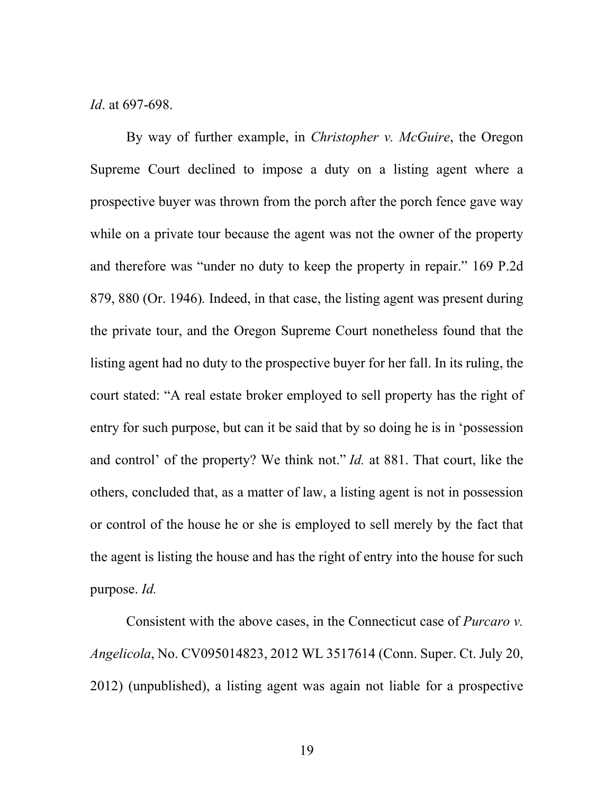*Id*. at 697-698.

By way of further example, in *Christopher v. McGuire*, the Oregon Supreme Court declined to impose a duty on a listing agent where a prospective buyer was thrown from the porch after the porch fence gave way while on a private tour because the agent was not the owner of the property and therefore was "under no duty to keep the property in repair." 169 P.2d 879, 880 (Or. 1946)*.* Indeed, in that case, the listing agent was present during the private tour, and the Oregon Supreme Court nonetheless found that the listing agent had no duty to the prospective buyer for her fall. In its ruling, the court stated: "A real estate broker employed to sell property has the right of entry for such purpose, but can it be said that by so doing he is in 'possession and control' of the property? We think not." *Id.* at 881. That court, like the others, concluded that, as a matter of law, a listing agent is not in possession or control of the house he or she is employed to sell merely by the fact that the agent is listing the house and has the right of entry into the house for such purpose. *Id.*

Consistent with the above cases, in the Connecticut case of *Purcaro v. Angelicola*, No. CV095014823, 2012 WL 3517614 (Conn. Super. Ct. July 20, 2012) (unpublished), a listing agent was again not liable for a prospective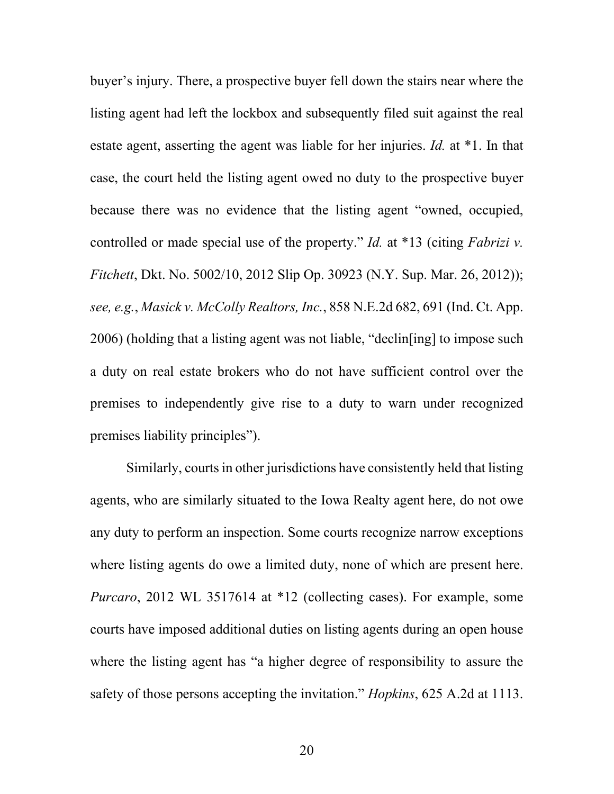buyer's injury. There, a prospective buyer fell down the stairs near where the listing agent had left the lockbox and subsequently filed suit against the real estate agent, asserting the agent was liable for her injuries. *Id.* at \*1. In that case, the court held the listing agent owed no duty to the prospective buyer because there was no evidence that the listing agent "owned, occupied, controlled or made special use of the property." *Id.* at \*13 (citing *Fabrizi v. Fitchett*, Dkt. No. 5002/10, 2012 Slip Op. 30923 (N.Y. Sup. Mar. 26, 2012)); *see, e.g.*, *Masick v. McColly Realtors, Inc.*, 858 N.E.2d 682, 691 (Ind. Ct. App. 2006) (holding that a listing agent was not liable, "declin[ing] to impose such a duty on real estate brokers who do not have sufficient control over the premises to independently give rise to a duty to warn under recognized premises liability principles").

Similarly, courts in other jurisdictions have consistently held that listing agents, who are similarly situated to the Iowa Realty agent here, do not owe any duty to perform an inspection. Some courts recognize narrow exceptions where listing agents do owe a limited duty, none of which are present here. *Purcaro*, 2012 WL 3517614 at \*12 (collecting cases). For example, some courts have imposed additional duties on listing agents during an open house where the listing agent has "a higher degree of responsibility to assure the safety of those persons accepting the invitation." *Hopkins*, 625 A.2d at 1113.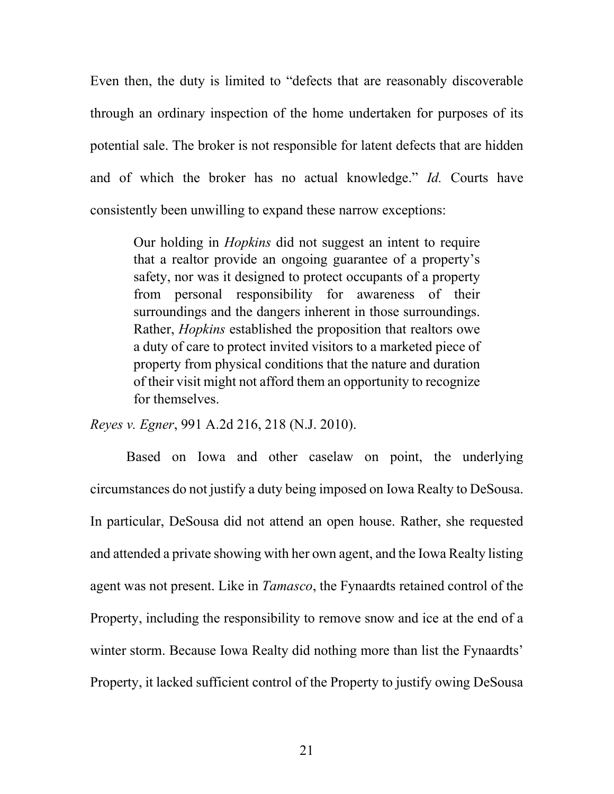Even then, the duty is limited to "defects that are reasonably discoverable through an ordinary inspection of the home undertaken for purposes of its potential sale. The broker is not responsible for latent defects that are hidden and of which the broker has no actual knowledge." *Id.* Courts have consistently been unwilling to expand these narrow exceptions:

Our holding in *Hopkins* did not suggest an intent to require that a realtor provide an ongoing guarantee of a property's safety, nor was it designed to protect occupants of a property from personal responsibility for awareness of their surroundings and the dangers inherent in those surroundings. Rather, *Hopkins* established the proposition that realtors owe a duty of care to protect invited visitors to a marketed piece of property from physical conditions that the nature and duration of their visit might not afford them an opportunity to recognize for themselves.

*Reyes v. Egner*, 991 A.2d 216, 218 (N.J. 2010).

Based on Iowa and other caselaw on point, the underlying circumstances do not justify a duty being imposed on Iowa Realty to DeSousa. In particular, DeSousa did not attend an open house. Rather, she requested and attended a private showing with her own agent, and the Iowa Realty listing agent was not present. Like in *Tamasco*, the Fynaardts retained control of the Property, including the responsibility to remove snow and ice at the end of a winter storm. Because Iowa Realty did nothing more than list the Fynaardts' Property, it lacked sufficient control of the Property to justify owing DeSousa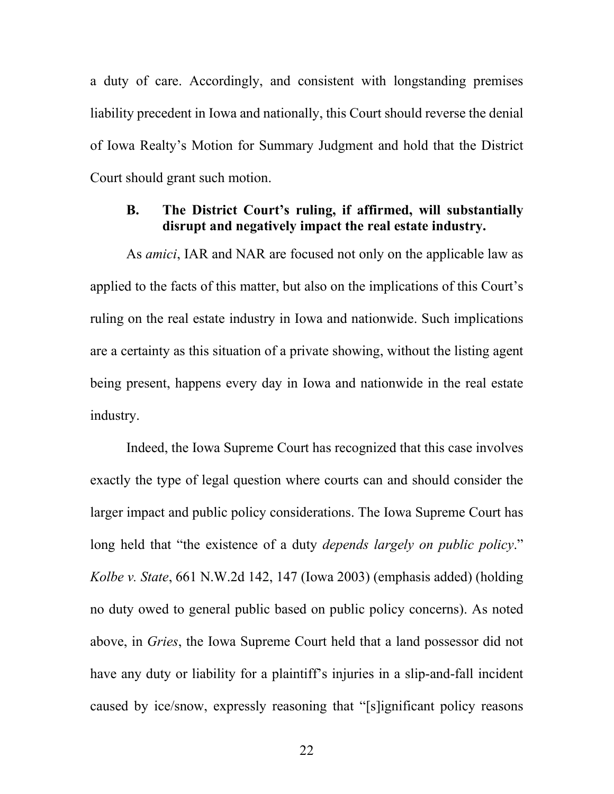a duty of care. Accordingly, and consistent with longstanding premises liability precedent in Iowa and nationally, this Court should reverse the denial of Iowa Realty's Motion for Summary Judgment and hold that the District Court should grant such motion.

## **B. The District Court's ruling, if affirmed, will substantially disrupt and negatively impact the real estate industry.**

As *amici*, IAR and NAR are focused not only on the applicable law as applied to the facts of this matter, but also on the implications of this Court's ruling on the real estate industry in Iowa and nationwide. Such implications are a certainty as this situation of a private showing, without the listing agent being present, happens every day in Iowa and nationwide in the real estate industry.

Indeed, the Iowa Supreme Court has recognized that this case involves exactly the type of legal question where courts can and should consider the larger impact and public policy considerations. The Iowa Supreme Court has long held that "the existence of a duty *depends largely on public policy*." *Kolbe v. State*, 661 N.W.2d 142, 147 (Iowa 2003) (emphasis added) (holding no duty owed to general public based on public policy concerns). As noted above, in *Gries*, the Iowa Supreme Court held that a land possessor did not have any duty or liability for a plaintiff's injuries in a slip-and-fall incident caused by ice/snow, expressly reasoning that "[s]ignificant policy reasons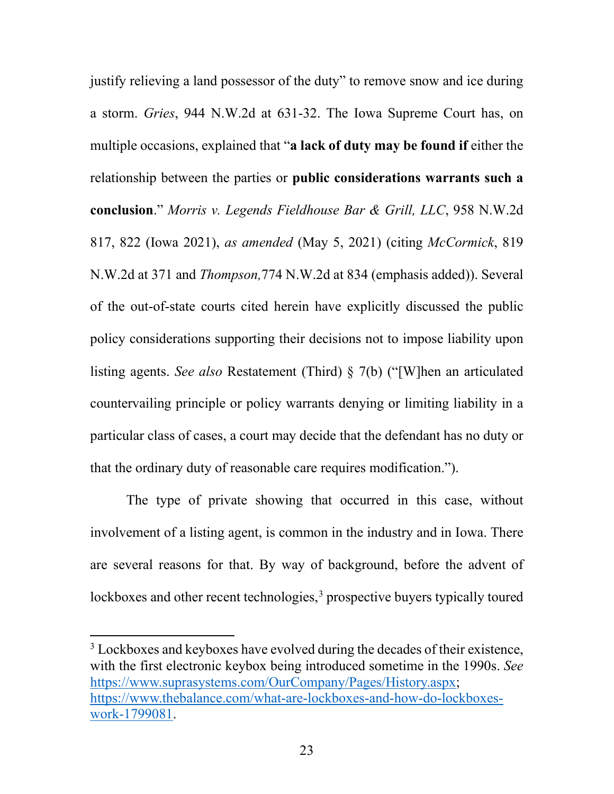justify relieving a land possessor of the duty" to remove snow and ice during a storm. *Gries*, 944 N.W.2d at 631-32. The Iowa Supreme Court has, on multiple occasions, explained that "**a lack of duty may be found if** either the relationship between the parties or **public considerations warrants such a conclusion**." *Morris v. Legends Fieldhouse Bar & Grill, LLC*, 958 N.W.2d 817, 822 (Iowa 2021), *as amended* (May 5, 2021) (citing *McCormick*, 819 N.W.2d at 371 and *Thompson,*774 N.W.2d at 834 (emphasis added)). Several of the out-of-state courts cited herein have explicitly discussed the public policy considerations supporting their decisions not to impose liability upon listing agents. *See also* Restatement (Third) § 7(b) ("[W]hen an articulated countervailing principle or policy warrants denying or limiting liability in a particular class of cases, a court may decide that the defendant has no duty or that the ordinary duty of reasonable care requires modification.").

The type of private showing that occurred in this case, without involvement of a listing agent, is common in the industry and in Iowa. There are several reasons for that. By way of background, before the advent of lockboxes and other recent technologies,  $3$  prospective buyers typically toured

<sup>&</sup>lt;sup>3</sup> Lockboxes and keyboxes have evolved during the decades of their existence, with the first electronic keybox being introduced sometime in the 1990s. *See* https://www.suprasystems.com/OurCompany/Pages/History.aspx; https://www.thebalance.com/what-are-lockboxes-and-how-do-lockboxeswork-1799081.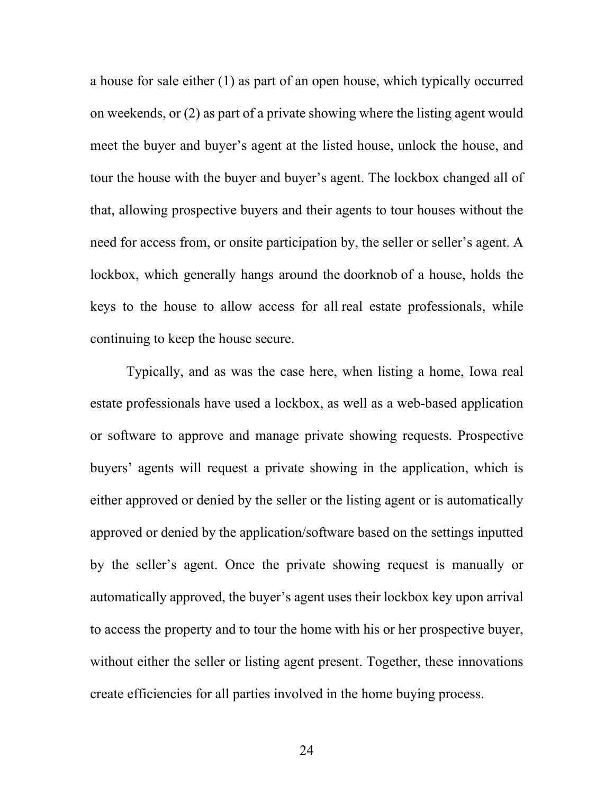a house for sale either (1) as part of an open house, which typically occurred on weekends, or (2) as part of a private showing where the listing agent would meet the buyer and buyer's agent at the listed house, unlock the house, and tour the house with the buyer and buyer's agent. The lockbox changed all of that, allowing prospective buyers and their agents to tour houses without the need for access from, or onsite participation by, the seller or seller's agent. A lockbox, which generally hangs around the doorknob of a house, holds the keys to the house to allow access for all real estate professionals, while continuing to keep the house secure.

Typically, and as was the case here, when listing a home, Iowa real estate professionals have used a lockbox, as well as a web-based application or software to approve and manage private showing requests. Prospective buyers' agents will request a private showing in the application, which is either approved or denied by the seller or the listing agent or is automatically approved or denied by the application/software based on the settings inputted by the seller's agent. Once the private showing request is manually or automatically approved, the buyer's agent uses their lockbox key upon arrival to access the property and to tour the home with his or her prospective buyer, without either the seller or listing agent present. Together, these innovations create efficiencies for all parties involved in the home buying process.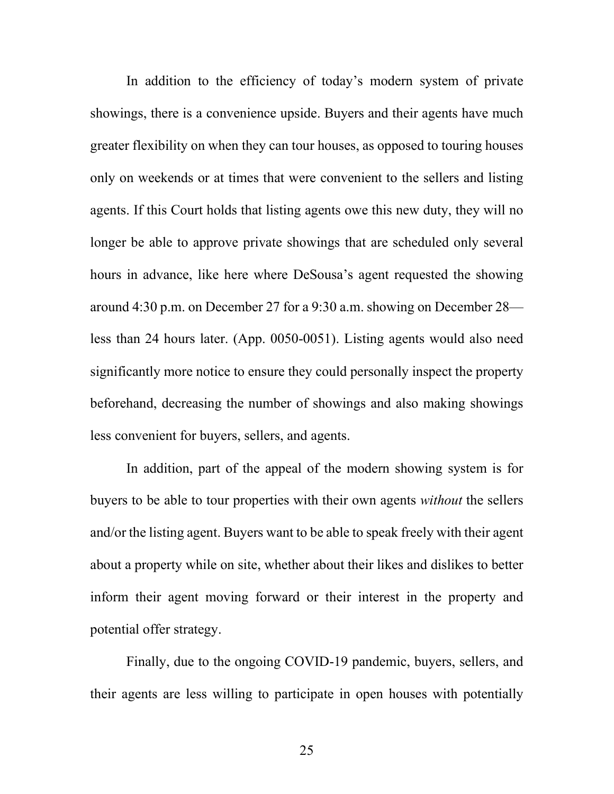In addition to the efficiency of today's modern system of private showings, there is a convenience upside. Buyers and their agents have much greater flexibility on when they can tour houses, as opposed to touring houses only on weekends or at times that were convenient to the sellers and listing agents. If this Court holds that listing agents owe this new duty, they will no longer be able to approve private showings that are scheduled only several hours in advance, like here where DeSousa's agent requested the showing around 4:30 p.m. on December 27 for a 9:30 a.m. showing on December 28 less than 24 hours later. (App. 0050-0051). Listing agents would also need significantly more notice to ensure they could personally inspect the property beforehand, decreasing the number of showings and also making showings less convenient for buyers, sellers, and agents.

In addition, part of the appeal of the modern showing system is for buyers to be able to tour properties with their own agents *without* the sellers and/or the listing agent. Buyers want to be able to speak freely with their agent about a property while on site, whether about their likes and dislikes to better inform their agent moving forward or their interest in the property and potential offer strategy.

Finally, due to the ongoing COVID-19 pandemic, buyers, sellers, and their agents are less willing to participate in open houses with potentially

25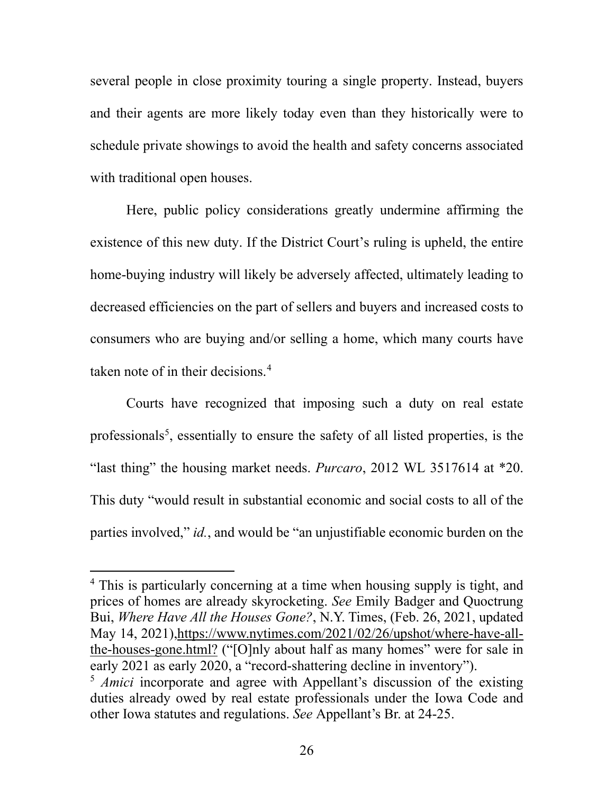several people in close proximity touring a single property. Instead, buyers and their agents are more likely today even than they historically were to schedule private showings to avoid the health and safety concerns associated with traditional open houses.

Here, public policy considerations greatly undermine affirming the existence of this new duty. If the District Court's ruling is upheld, the entire home-buying industry will likely be adversely affected, ultimately leading to decreased efficiencies on the part of sellers and buyers and increased costs to consumers who are buying and/or selling a home, which many courts have taken note of in their decisions.<sup>4</sup>

Courts have recognized that imposing such a duty on real estate professionals<sup>5</sup>, essentially to ensure the safety of all listed properties, is the "last thing" the housing market needs. *Purcaro*, 2012 WL 3517614 at \*20. This duty "would result in substantial economic and social costs to all of the parties involved," *id.*, and would be "an unjustifiable economic burden on the

<sup>&</sup>lt;sup>4</sup> This is particularly concerning at a time when housing supply is tight, and prices of homes are already skyrocketing. *See* Emily Badger and Quoctrung Bui, *Where Have All the Houses Gone?*, N.Y. Times, (Feb. 26, 2021, updated May 14, 2021),https://www.nytimes.com/2021/02/26/upshot/where-have-allthe-houses-gone.html? ("[O]nly about half as many homes" were for sale in early 2021 as early 2020, a "record-shattering decline in inventory").

<sup>&</sup>lt;sup>5</sup> *Amici* incorporate and agree with Appellant's discussion of the existing duties already owed by real estate professionals under the Iowa Code and other Iowa statutes and regulations. *See* Appellant's Br. at 24-25.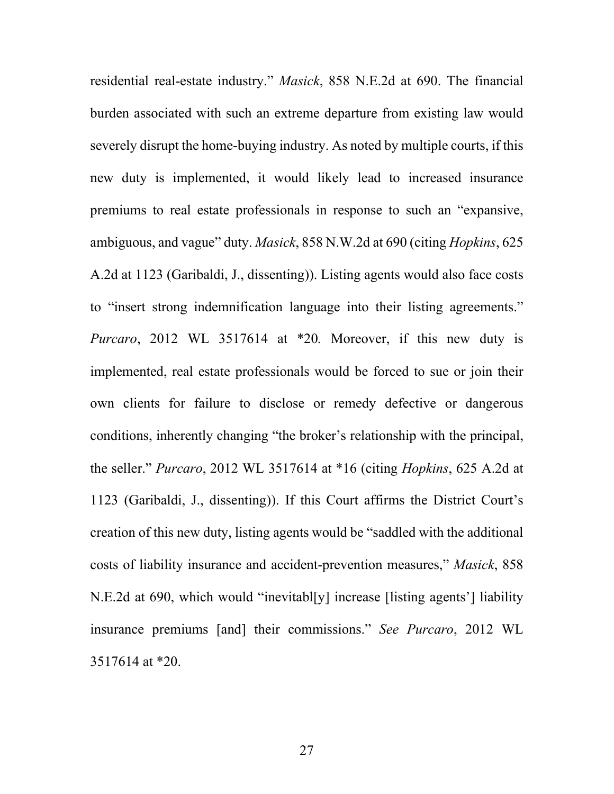residential real-estate industry." *Masick*, 858 N.E.2d at 690. The financial burden associated with such an extreme departure from existing law would severely disrupt the home-buying industry. As noted by multiple courts, if this new duty is implemented, it would likely lead to increased insurance premiums to real estate professionals in response to such an "expansive, ambiguous, and vague" duty. *Masick*, 858 N.W.2d at 690 (citing *Hopkins*, 625 A.2d at 1123 (Garibaldi, J., dissenting)). Listing agents would also face costs to "insert strong indemnification language into their listing agreements." *Purcaro*, 2012 WL 3517614 at \*20*.* Moreover, if this new duty is implemented, real estate professionals would be forced to sue or join their own clients for failure to disclose or remedy defective or dangerous conditions, inherently changing "the broker's relationship with the principal, the seller." *Purcaro*, 2012 WL 3517614 at \*16 (citing *Hopkins*, 625 A.2d at 1123 (Garibaldi, J., dissenting)). If this Court affirms the District Court's creation of this new duty, listing agents would be "saddled with the additional costs of liability insurance and accident-prevention measures," *Masick*, 858 N.E.2d at 690, which would "inevitabl[y] increase [listing agents'] liability insurance premiums [and] their commissions." *See Purcaro*, 2012 WL 3517614 at \*20.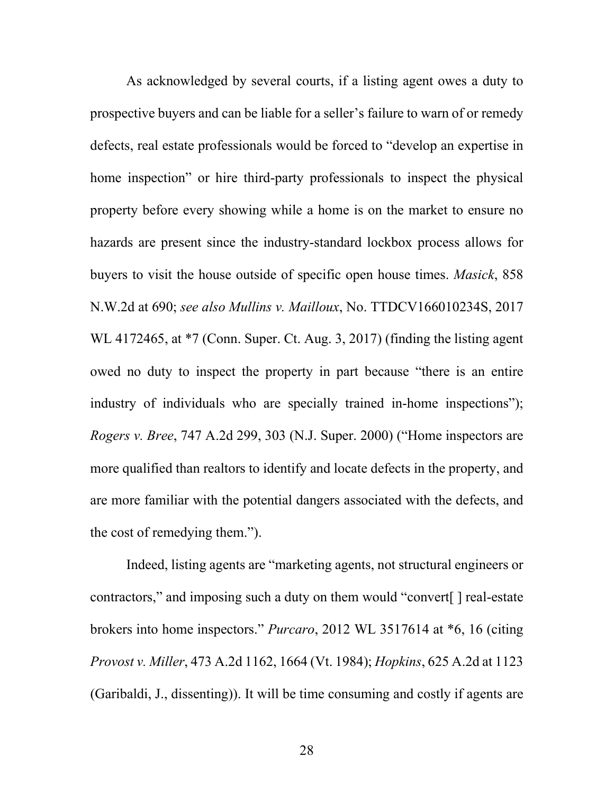As acknowledged by several courts, if a listing agent owes a duty to prospective buyers and can be liable for a seller's failure to warn of or remedy defects, real estate professionals would be forced to "develop an expertise in home inspection" or hire third-party professionals to inspect the physical property before every showing while a home is on the market to ensure no hazards are present since the industry-standard lockbox process allows for buyers to visit the house outside of specific open house times. *Masick*, 858 N.W.2d at 690; *see also Mullins v. Mailloux*, No. TTDCV166010234S, 2017 WL 4172465, at  $*7$  (Conn. Super. Ct. Aug. 3, 2017) (finding the listing agent owed no duty to inspect the property in part because "there is an entire industry of individuals who are specially trained in-home inspections"); *Rogers v. Bree*, 747 A.2d 299, 303 (N.J. Super. 2000) ("Home inspectors are more qualified than realtors to identify and locate defects in the property, and are more familiar with the potential dangers associated with the defects, and the cost of remedying them.").

Indeed, listing agents are "marketing agents, not structural engineers or contractors," and imposing such a duty on them would "convert[ ] real-estate brokers into home inspectors." *Purcaro*, 2012 WL 3517614 at \*6, 16 (citing *Provost v. Miller*, 473 A.2d 1162, 1664 (Vt. 1984); *Hopkins*, 625 A.2d at 1123 (Garibaldi, J., dissenting)). It will be time consuming and costly if agents are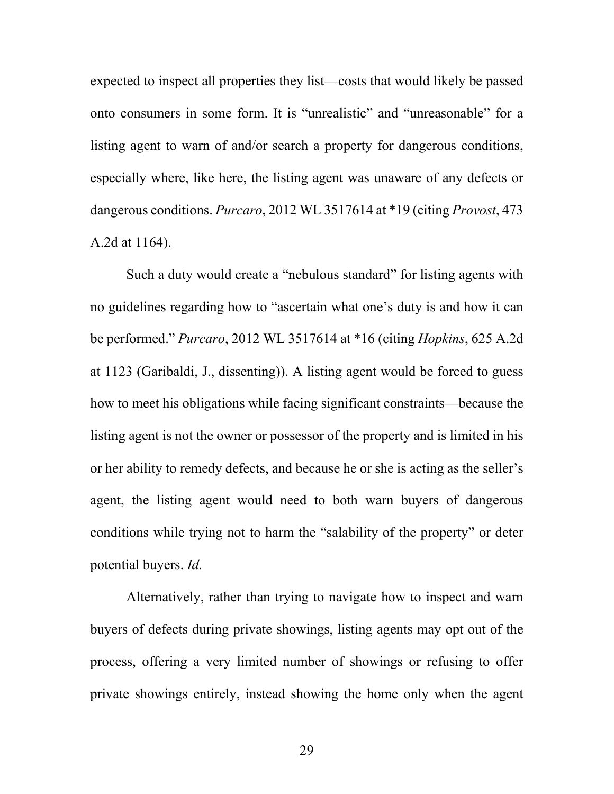expected to inspect all properties they list—costs that would likely be passed onto consumers in some form. It is "unrealistic" and "unreasonable" for a listing agent to warn of and/or search a property for dangerous conditions, especially where, like here, the listing agent was unaware of any defects or dangerous conditions. *Purcaro*, 2012 WL 3517614 at \*19 (citing *Provost*, 473 A.2d at 1164).

Such a duty would create a "nebulous standard" for listing agents with no guidelines regarding how to "ascertain what one's duty is and how it can be performed." *Purcaro*, 2012 WL 3517614 at \*16 (citing *Hopkins*, 625 A.2d at 1123 (Garibaldi, J., dissenting)). A listing agent would be forced to guess how to meet his obligations while facing significant constraints—because the listing agent is not the owner or possessor of the property and is limited in his or her ability to remedy defects, and because he or she is acting as the seller's agent, the listing agent would need to both warn buyers of dangerous conditions while trying not to harm the "salability of the property" or deter potential buyers. *Id.*

Alternatively, rather than trying to navigate how to inspect and warn buyers of defects during private showings, listing agents may opt out of the process, offering a very limited number of showings or refusing to offer private showings entirely, instead showing the home only when the agent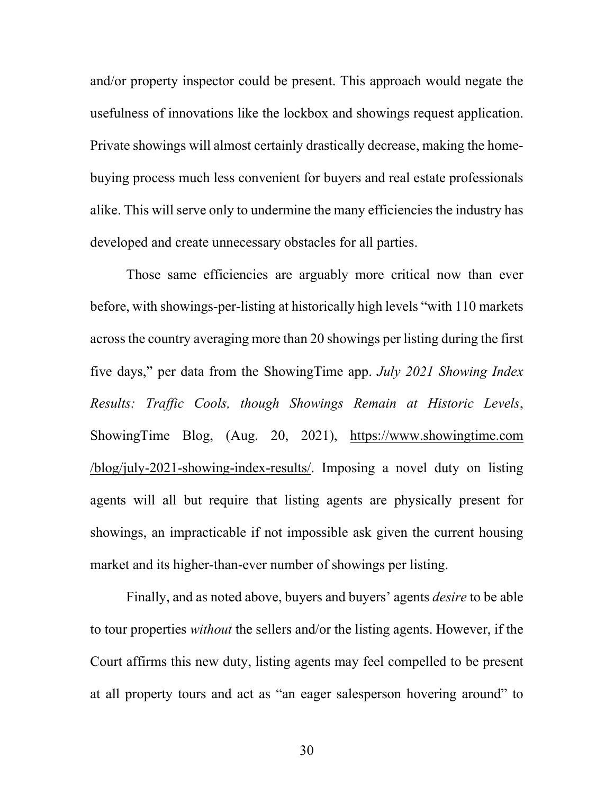and/or property inspector could be present. This approach would negate the usefulness of innovations like the lockbox and showings request application. Private showings will almost certainly drastically decrease, making the homebuying process much less convenient for buyers and real estate professionals alike. This will serve only to undermine the many efficiencies the industry has developed and create unnecessary obstacles for all parties.

Those same efficiencies are arguably more critical now than ever before, with showings-per-listing at historically high levels "with 110 markets across the country averaging more than 20 showings per listing during the first five days," per data from the ShowingTime app. *July 2021 Showing Index Results: Traffic Cools, though Showings Remain at Historic Levels*, ShowingTime Blog, (Aug. 20, 2021), https://www.showingtime.com /blog/july-2021-showing-index-results/. Imposing a novel duty on listing agents will all but require that listing agents are physically present for showings, an impracticable if not impossible ask given the current housing market and its higher-than-ever number of showings per listing.

Finally, and as noted above, buyers and buyers' agents *desire* to be able to tour properties *without* the sellers and/or the listing agents. However, if the Court affirms this new duty, listing agents may feel compelled to be present at all property tours and act as "an eager salesperson hovering around" to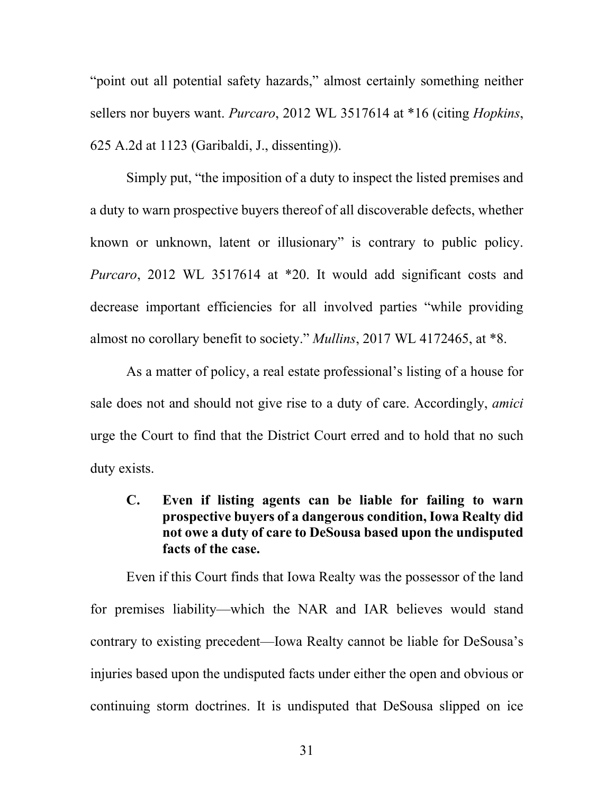"point out all potential safety hazards," almost certainly something neither sellers nor buyers want. *Purcaro*, 2012 WL 3517614 at \*16 (citing *Hopkins*, 625 A.2d at 1123 (Garibaldi, J., dissenting)).

Simply put, "the imposition of a duty to inspect the listed premises and a duty to warn prospective buyers thereof of all discoverable defects, whether known or unknown, latent or illusionary" is contrary to public policy. *Purcaro*, 2012 WL 3517614 at \*20. It would add significant costs and decrease important efficiencies for all involved parties "while providing almost no corollary benefit to society." *Mullins*, 2017 WL 4172465, at \*8.

As a matter of policy, a real estate professional's listing of a house for sale does not and should not give rise to a duty of care. Accordingly, *amici* urge the Court to find that the District Court erred and to hold that no such duty exists.

**C. Even if listing agents can be liable for failing to warn prospective buyers of a dangerous condition, Iowa Realty did not owe a duty of care to DeSousa based upon the undisputed facts of the case.**

Even if this Court finds that Iowa Realty was the possessor of the land for premises liability—which the NAR and IAR believes would stand contrary to existing precedent—Iowa Realty cannot be liable for DeSousa's injuries based upon the undisputed facts under either the open and obvious or continuing storm doctrines. It is undisputed that DeSousa slipped on ice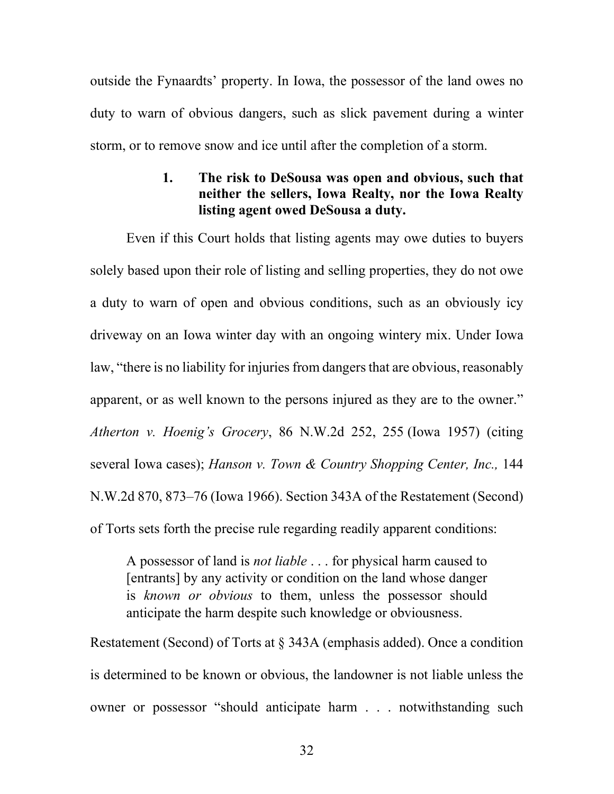outside the Fynaardts' property. In Iowa, the possessor of the land owes no duty to warn of obvious dangers, such as slick pavement during a winter storm, or to remove snow and ice until after the completion of a storm.

# **1. The risk to DeSousa was open and obvious, such that neither the sellers, Iowa Realty, nor the Iowa Realty listing agent owed DeSousa a duty.**

Even if this Court holds that listing agents may owe duties to buyers solely based upon their role of listing and selling properties, they do not owe a duty to warn of open and obvious conditions, such as an obviously icy driveway on an Iowa winter day with an ongoing wintery mix. Under Iowa law, "there is no liability for injuries from dangers that are obvious, reasonably apparent, or as well known to the persons injured as they are to the owner." *Atherton v. Hoenig's Grocery*, 86 N.W.2d 252, 255 (Iowa 1957) (citing several Iowa cases); *Hanson v. Town & Country Shopping Center, Inc.,* 144 N.W.2d 870, 873–76 (Iowa 1966). Section 343A of the Restatement (Second) of Torts sets forth the precise rule regarding readily apparent conditions:

A possessor of land is *not liable* . . . for physical harm caused to [entrants] by any activity or condition on the land whose danger is *known or obvious* to them, unless the possessor should anticipate the harm despite such knowledge or obviousness.

Restatement (Second) of Torts at § 343A (emphasis added). Once a condition is determined to be known or obvious, the landowner is not liable unless the owner or possessor "should anticipate harm . . . notwithstanding such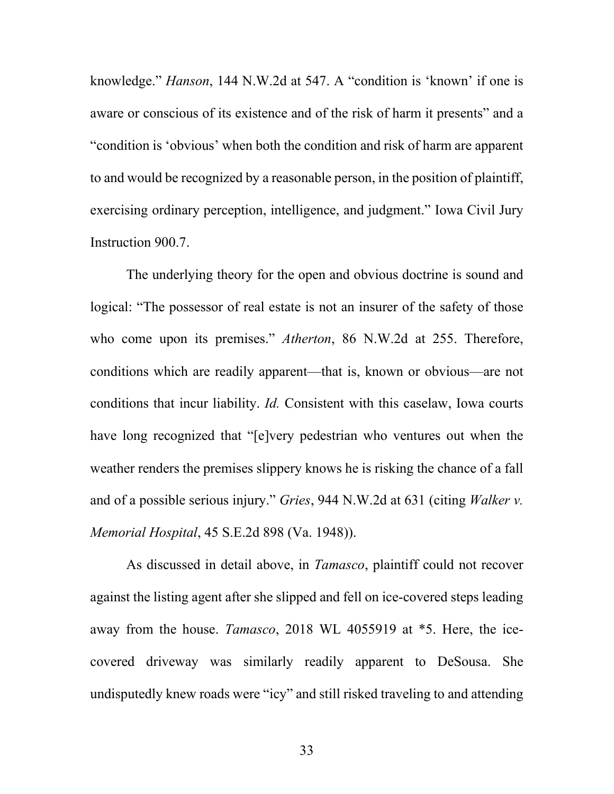knowledge." *Hanson*, 144 N.W.2d at 547. A "condition is 'known' if one is aware or conscious of its existence and of the risk of harm it presents" and a "condition is 'obvious' when both the condition and risk of harm are apparent to and would be recognized by a reasonable person, in the position of plaintiff, exercising ordinary perception, intelligence, and judgment." Iowa Civil Jury Instruction 900.7.

The underlying theory for the open and obvious doctrine is sound and logical: "The possessor of real estate is not an insurer of the safety of those who come upon its premises." *Atherton*, 86 N.W.2d at 255. Therefore, conditions which are readily apparent—that is, known or obvious—are not conditions that incur liability. *Id.* Consistent with this caselaw, Iowa courts have long recognized that "[e]very pedestrian who ventures out when the weather renders the premises slippery knows he is risking the chance of a fall and of a possible serious injury." *Gries*, 944 N.W.2d at 631 (citing *Walker v. Memorial Hospital*, 45 S.E.2d 898 (Va. 1948)).

As discussed in detail above, in *Tamasco*, plaintiff could not recover against the listing agent after she slipped and fell on ice-covered steps leading away from the house. *Tamasco*, 2018 WL 4055919 at \*5. Here, the icecovered driveway was similarly readily apparent to DeSousa. She undisputedly knew roads were "icy" and still risked traveling to and attending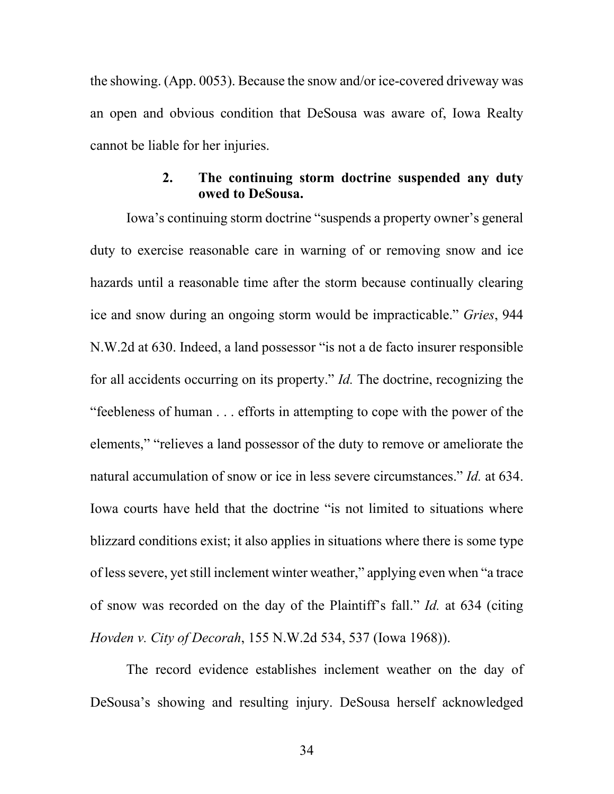the showing. (App. 0053). Because the snow and/or ice-covered driveway was an open and obvious condition that DeSousa was aware of, Iowa Realty cannot be liable for her injuries.

# **2. The continuing storm doctrine suspended any duty owed to DeSousa.**

Iowa's continuing storm doctrine "suspends a property owner's general duty to exercise reasonable care in warning of or removing snow and ice hazards until a reasonable time after the storm because continually clearing ice and snow during an ongoing storm would be impracticable." *Gries*, 944 N.W.2d at 630. Indeed, a land possessor "is not a de facto insurer responsible for all accidents occurring on its property." *Id.* The doctrine, recognizing the "feebleness of human . . . efforts in attempting to cope with the power of the elements," "relieves a land possessor of the duty to remove or ameliorate the natural accumulation of snow or ice in less severe circumstances." *Id.* at 634. Iowa courts have held that the doctrine "is not limited to situations where blizzard conditions exist; it also applies in situations where there is some type of less severe, yet still inclement winter weather," applying even when "a trace of snow was recorded on the day of the Plaintiff's fall." *Id.* at 634 (citing *Hovden v. City of Decorah*, 155 N.W.2d 534, 537 (Iowa 1968)).

The record evidence establishes inclement weather on the day of DeSousa's showing and resulting injury. DeSousa herself acknowledged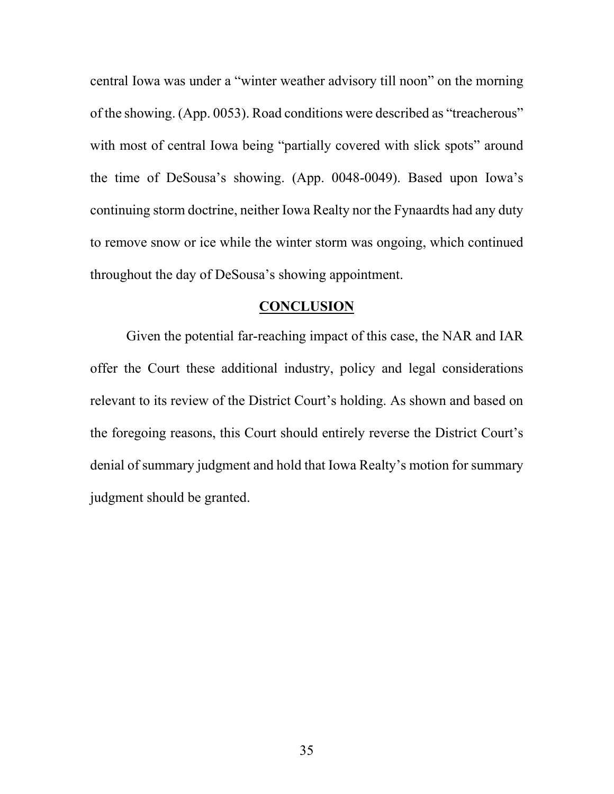central Iowa was under a "winter weather advisory till noon" on the morning of the showing. (App. 0053). Road conditions were described as "treacherous" with most of central Iowa being "partially covered with slick spots" around the time of DeSousa's showing. (App. 0048-0049). Based upon Iowa's continuing storm doctrine, neither Iowa Realty nor the Fynaardts had any duty to remove snow or ice while the winter storm was ongoing, which continued throughout the day of DeSousa's showing appointment.

#### **CONCLUSION**

Given the potential far-reaching impact of this case, the NAR and IAR offer the Court these additional industry, policy and legal considerations relevant to its review of the District Court's holding. As shown and based on the foregoing reasons, this Court should entirely reverse the District Court's denial of summary judgment and hold that Iowa Realty's motion for summary judgment should be granted.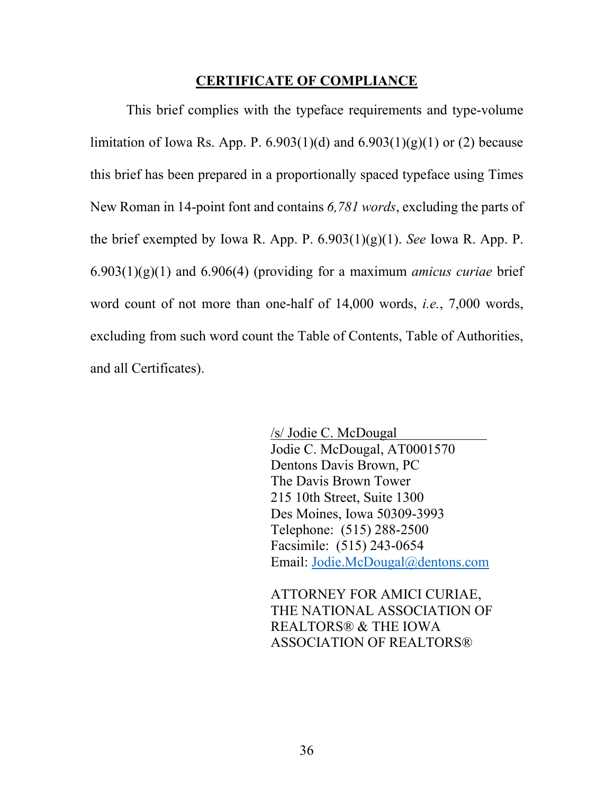#### **CERTIFICATE OF COMPLIANCE**

This brief complies with the typeface requirements and type-volume limitation of Iowa Rs. App. P. 6.903(1)(d) and  $6.903(1)(g)(1)$  or (2) because this brief has been prepared in a proportionally spaced typeface using Times New Roman in 14-point font and contains *6,781 words*, excluding the parts of the brief exempted by Iowa R. App. P. 6.903(1)(g)(1). *See* Iowa R. App. P. 6.903(1)(g)(1) and 6.906(4) (providing for a maximum *amicus curiae* brief word count of not more than one-half of 14,000 words, *i.e.*, 7,000 words, excluding from such word count the Table of Contents, Table of Authorities, and all Certificates).

> /s/ Jodie C. McDougal Jodie C. McDougal, AT0001570 Dentons Davis Brown, PC The Davis Brown Tower 215 10th Street, Suite 1300 Des Moines, Iowa 50309-3993 Telephone: (515) 288-2500 Facsimile: (515) 243-0654 Email: Jodie.McDougal@dentons.com

ATTORNEY FOR AMICI CURIAE, THE NATIONAL ASSOCIATION OF REALTORS® & THE IOWA ASSOCIATION OF REALTORS®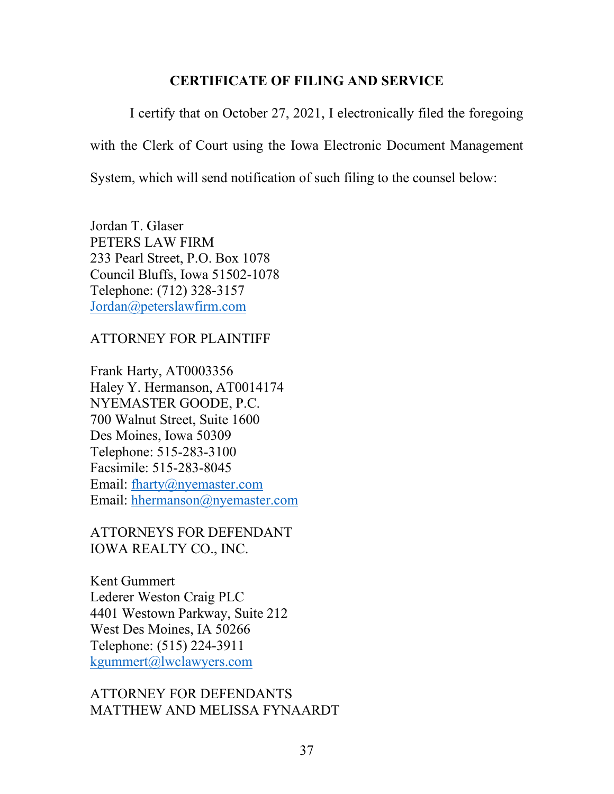#### **CERTIFICATE OF FILING AND SERVICE**

I certify that on October 27, 2021, I electronically filed the foregoing

with the Clerk of Court using the Iowa Electronic Document Management

System, which will send notification of such filing to the counsel below:

Jordan T. Glaser PETERS LAW FIRM 233 Pearl Street, P.O. Box 1078 Council Bluffs, Iowa 51502-1078 Telephone: (712) 328-3157 Jordan@peterslawfirm.com

ATTORNEY FOR PLAINTIFF

Frank Harty, AT0003356 Haley Y. Hermanson, AT0014174 NYEMASTER GOODE, P.C. 700 Walnut Street, Suite 1600 Des Moines, Iowa 50309 Telephone: 515-283-3100 Facsimile: 515-283-8045 Email: fharty@nyemaster.com Email: hhermanson@nyemaster.com

ATTORNEYS FOR DEFENDANT IOWA REALTY CO., INC.

Kent Gummert Lederer Weston Craig PLC 4401 Westown Parkway, Suite 212 West Des Moines, IA 50266 Telephone: (515) 224-3911 kgummert@lwclawyers.com

## ATTORNEY FOR DEFENDANTS MATTHEW AND MELISSA FYNAARDT